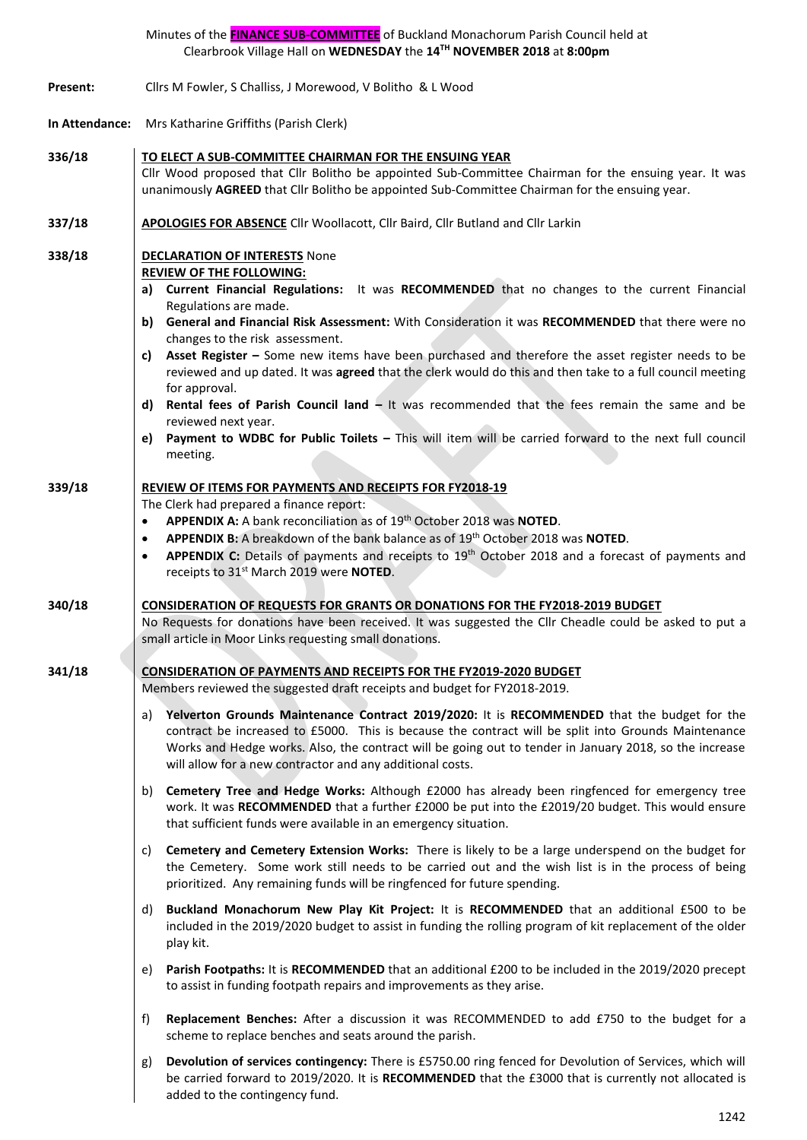|          | Minutes of the FINANCE SUB-COMMITTEE of Buckland Monachorum Parish Council held at<br>Clearbrook Village Hall on WEDNESDAY the 14TH NOVEMBER 2018 at 8:00pm                                                                                                                                                                                                                                                                                                                                                                                                                                                                                                                                                                                                                                                                               |
|----------|-------------------------------------------------------------------------------------------------------------------------------------------------------------------------------------------------------------------------------------------------------------------------------------------------------------------------------------------------------------------------------------------------------------------------------------------------------------------------------------------------------------------------------------------------------------------------------------------------------------------------------------------------------------------------------------------------------------------------------------------------------------------------------------------------------------------------------------------|
| Present: | Cllrs M Fowler, S Challiss, J Morewood, V Bolitho & L Wood                                                                                                                                                                                                                                                                                                                                                                                                                                                                                                                                                                                                                                                                                                                                                                                |
|          | In Attendance: Mrs Katharine Griffiths (Parish Clerk)                                                                                                                                                                                                                                                                                                                                                                                                                                                                                                                                                                                                                                                                                                                                                                                     |
| 336/18   | TO ELECT A SUB-COMMITTEE CHAIRMAN FOR THE ENSUING YEAR<br>Cllr Wood proposed that Cllr Bolitho be appointed Sub-Committee Chairman for the ensuing year. It was<br>unanimously AGREED that Cllr Bolitho be appointed Sub-Committee Chairman for the ensuing year.                                                                                                                                                                                                                                                                                                                                                                                                                                                                                                                                                                         |
| 337/18   | <b>APOLOGIES FOR ABSENCE</b> Cllr Woollacott, Cllr Baird, Cllr Butland and Cllr Larkin                                                                                                                                                                                                                                                                                                                                                                                                                                                                                                                                                                                                                                                                                                                                                    |
| 338/18   | <b>DECLARATION OF INTERESTS None</b><br><b>REVIEW OF THE FOLLOWING:</b><br>a) Current Financial Regulations: It was RECOMMENDED that no changes to the current Financial<br>Regulations are made.<br>b) General and Financial Risk Assessment: With Consideration it was RECOMMENDED that there were no<br>changes to the risk assessment.<br>Asset Register - Some new items have been purchased and therefore the asset register needs to be<br>C)<br>reviewed and up dated. It was agreed that the clerk would do this and then take to a full council meeting<br>for approval.<br>Rental fees of Parish Council land - It was recommended that the fees remain the same and be<br>d)<br>reviewed next year.<br>Payment to WDBC for Public Toilets - This will item will be carried forward to the next full council<br>e)<br>meeting. |
| 339/18   | <b>REVIEW OF ITEMS FOR PAYMENTS AND RECEIPTS FOR FY2018-19</b><br>The Clerk had prepared a finance report:<br>APPENDIX A: A bank reconciliation as of 19th October 2018 was NOTED.<br>$\bullet$<br>APPENDIX B: A breakdown of the bank balance as of 19th October 2018 was NOTED.<br>$\bullet$<br>APPENDIX C: Details of payments and receipts to 19 <sup>th</sup> October 2018 and a forecast of payments and<br>$\bullet$<br>receipts to 31 <sup>st</sup> March 2019 were <b>NOTED</b> .                                                                                                                                                                                                                                                                                                                                                |
| 340/18   | <b>CONSIDERATION OF REQUESTS FOR GRANTS OR DONATIONS FOR THE FY2018-2019 BUDGET</b><br>No Requests for donations have been received. It was suggested the Cllr Cheadle could be asked to put a<br>small article in Moor Links requesting small donations.                                                                                                                                                                                                                                                                                                                                                                                                                                                                                                                                                                                 |
| 341/18   | <b>CONSIDERATION OF PAYMENTS AND RECEIPTS FOR THE FY2019-2020 BUDGET</b><br>Members reviewed the suggested draft receipts and budget for FY2018-2019.                                                                                                                                                                                                                                                                                                                                                                                                                                                                                                                                                                                                                                                                                     |
|          | Yelverton Grounds Maintenance Contract 2019/2020: It is RECOMMENDED that the budget for the<br>a)<br>contract be increased to £5000. This is because the contract will be split into Grounds Maintenance<br>Works and Hedge works. Also, the contract will be going out to tender in January 2018, so the increase<br>will allow for a new contractor and any additional costs.                                                                                                                                                                                                                                                                                                                                                                                                                                                           |
|          | Cemetery Tree and Hedge Works: Although £2000 has already been ringfenced for emergency tree<br>b)<br>work. It was RECOMMENDED that a further £2000 be put into the £2019/20 budget. This would ensure<br>that sufficient funds were available in an emergency situation.                                                                                                                                                                                                                                                                                                                                                                                                                                                                                                                                                                 |
|          | Cemetery and Cemetery Extension Works: There is likely to be a large underspend on the budget for<br>C)<br>the Cemetery. Some work still needs to be carried out and the wish list is in the process of being<br>prioritized. Any remaining funds will be ringfenced for future spending.                                                                                                                                                                                                                                                                                                                                                                                                                                                                                                                                                 |
|          | Buckland Monachorum New Play Kit Project: It is RECOMMENDED that an additional £500 to be<br>d)<br>included in the 2019/2020 budget to assist in funding the rolling program of kit replacement of the older<br>play kit.                                                                                                                                                                                                                                                                                                                                                                                                                                                                                                                                                                                                                 |
|          | Parish Footpaths: It is RECOMMENDED that an additional £200 to be included in the 2019/2020 precept<br>e)<br>to assist in funding footpath repairs and improvements as they arise.                                                                                                                                                                                                                                                                                                                                                                                                                                                                                                                                                                                                                                                        |
|          | Replacement Benches: After a discussion it was RECOMMENDED to add £750 to the budget for a<br>f)<br>scheme to replace benches and seats around the parish.                                                                                                                                                                                                                                                                                                                                                                                                                                                                                                                                                                                                                                                                                |
|          | Devolution of services contingency: There is £5750.00 ring fenced for Devolution of Services, which will<br>g)<br>be carried forward to 2019/2020. It is RECOMMENDED that the £3000 that is currently not allocated is<br>added to the contingency fund.                                                                                                                                                                                                                                                                                                                                                                                                                                                                                                                                                                                  |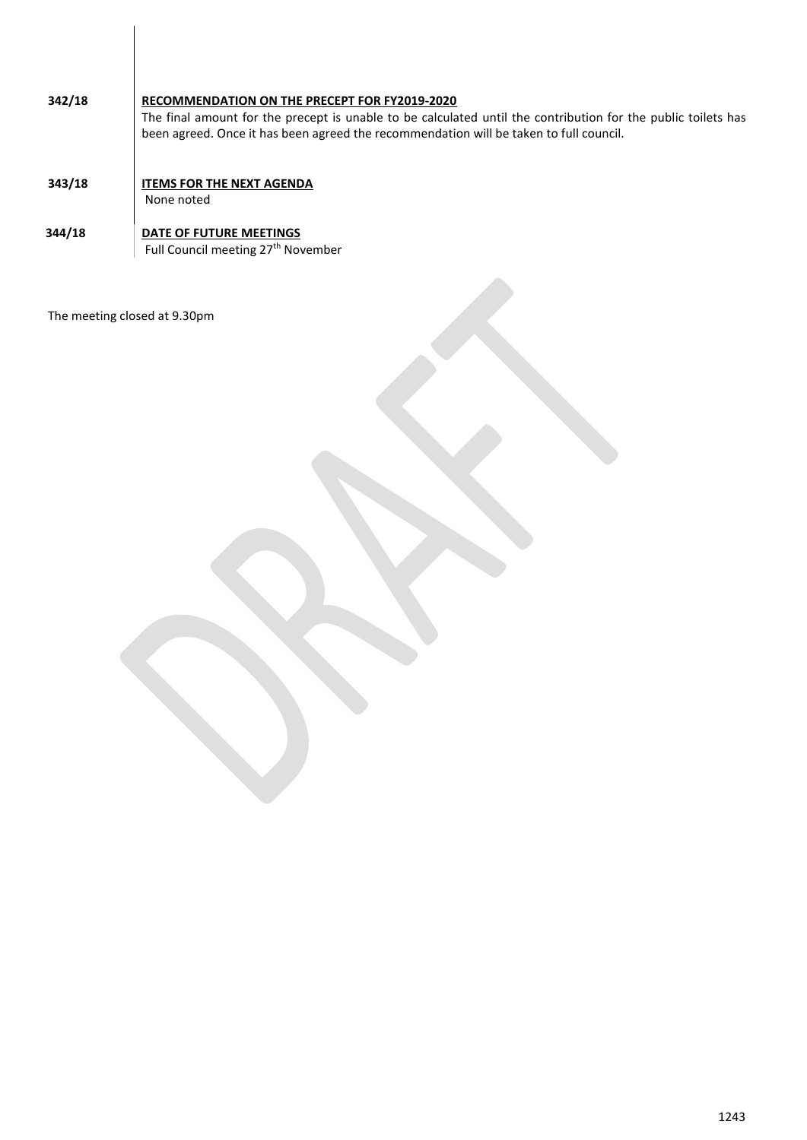| 342/18 | RECOMMENDATION ON THE PRECEPT FOR FY2019-2020<br>The final amount for the precept is unable to be calculated until the contribution for the public toilets has<br>been agreed. Once it has been agreed the recommendation will be taken to full council. |
|--------|----------------------------------------------------------------------------------------------------------------------------------------------------------------------------------------------------------------------------------------------------------|
| 343/18 | <b>ITEMS FOR THE NEXT AGENDA</b><br>None noted                                                                                                                                                                                                           |
| 344/18 | DATE OF FUTURE MEETINGS<br>Full Council meeting 27 <sup>th</sup> November                                                                                                                                                                                |

The meeting closed at 9.30pm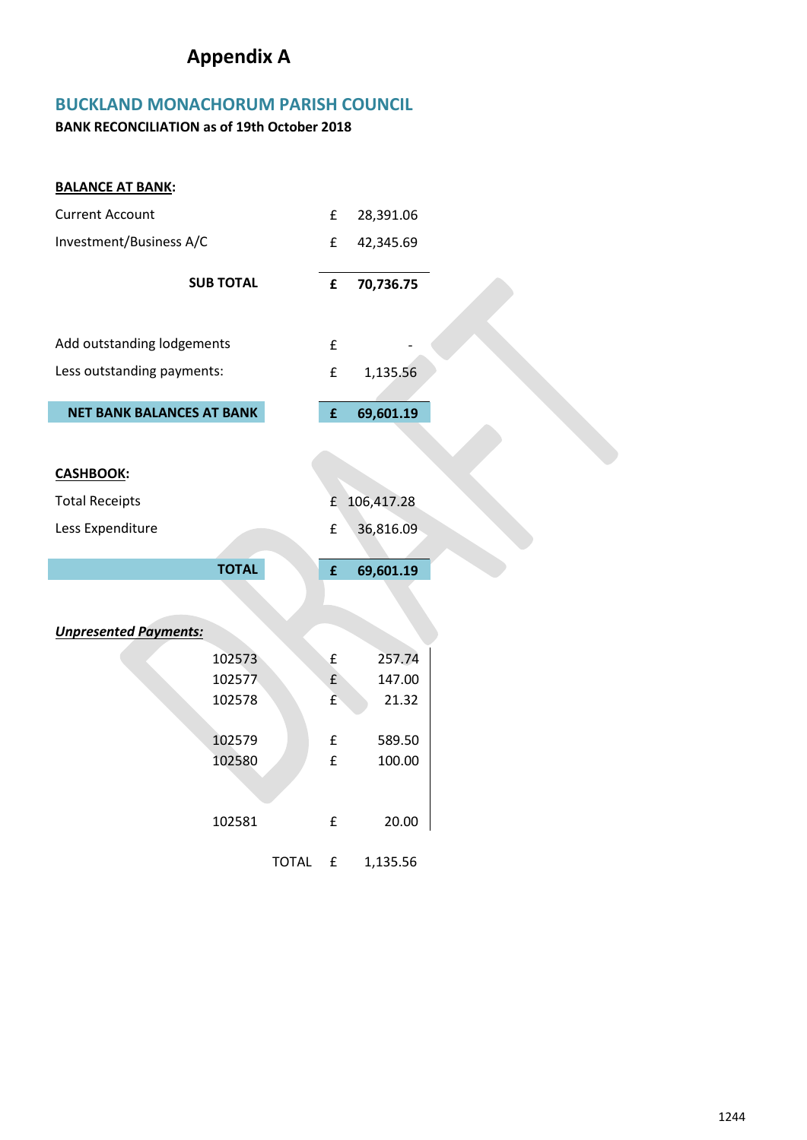# **Appendix A**

### **BUCKLAND MONACHORUM PARISH COUNCIL**

**BANK RECONCILIATION as of 19th October 2018**

| <b>BALANCE AT BANK:</b>          |                  |           |                    |            |
|----------------------------------|------------------|-----------|--------------------|------------|
| <b>Current Account</b>           |                  | £         | 28,391.06          |            |
| Investment/Business A/C          | £                | 42,345.69 |                    |            |
|                                  | <b>SUB TOTAL</b> |           | £                  |            |
|                                  |                  |           |                    | 70,736.75  |
|                                  |                  |           |                    |            |
| Add outstanding lodgements       |                  |           | £                  |            |
| Less outstanding payments:       |                  |           | £                  | 1,135.56   |
|                                  |                  |           |                    |            |
| <b>NET BANK BALANCES AT BANK</b> |                  |           | £                  | 69,601.19  |
|                                  |                  |           |                    |            |
| <b>CASHBOOK:</b>                 |                  |           |                    |            |
|                                  |                  |           |                    |            |
| <b>Total Receipts</b>            |                  |           | £                  | 106,417.28 |
|                                  |                  |           |                    |            |
| Less Expenditure                 |                  |           | £                  | 36,816.09  |
|                                  |                  |           |                    |            |
|                                  | <b>TOTAL</b>     |           | £                  | 69,601.19  |
|                                  |                  |           |                    |            |
|                                  |                  |           |                    |            |
| <b>Unpresented Payments:</b>     |                  |           |                    |            |
|                                  | 102573           |           | $\pmb{\mathsf{f}}$ | 257.74     |
|                                  | 102577           |           | f(x)               | 147.00     |
|                                  | 102578           |           | £                  | 21.32      |
|                                  |                  |           |                    |            |
|                                  | 102579           |           | £                  | 589.50     |
|                                  | 102580           |           | £                  | 100.00     |
|                                  |                  |           |                    |            |
|                                  |                  |           |                    |            |
|                                  | 102581           |           | $\pmb{\mathsf{f}}$ | 20.00      |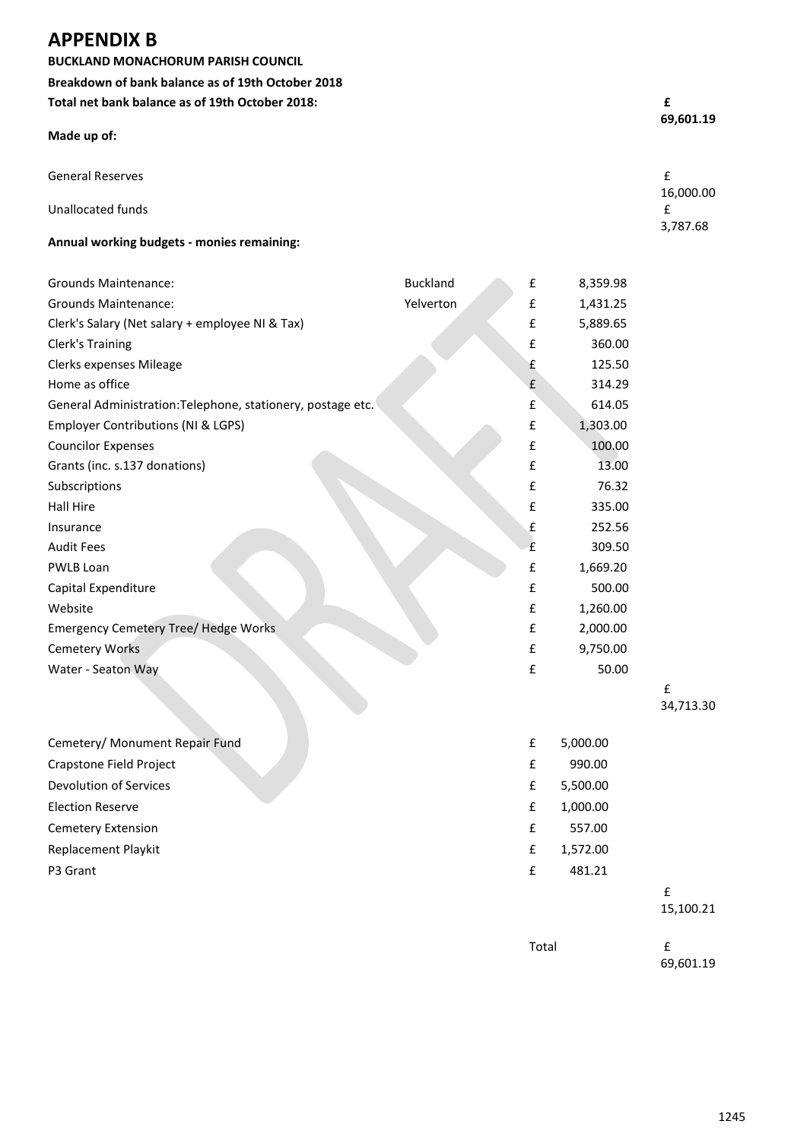### **APPENDIX B**

**BUCKLAND MONACHORUM PARISH COUNCIL Breakdown of bank balance as of 19th October 2018 Total net bank balance as of 19th October 2018: £** 

| Made up of:                                | 69,601.19      |
|--------------------------------------------|----------------|
| <b>General Reserves</b>                    | £              |
| Unallocated funds                          | 16,000.00<br>£ |
| Annual working budgets - monies remaining: | 3,787.68       |

| <b>Grounds Maintenance:</b>                                 | <b>Buckland</b> | £ | 8,359.98 |
|-------------------------------------------------------------|-----------------|---|----------|
| <b>Grounds Maintenance:</b>                                 | Yelverton       | £ | 1,431.25 |
| Clerk's Salary (Net salary + employee NI & Tax)             |                 | £ | 5,889.65 |
| Clerk's Training                                            |                 | £ | 360.00   |
| Clerks expenses Mileage                                     |                 | £ | 125.50   |
| Home as office                                              |                 | £ | 314.29   |
| General Administration: Telephone, stationery, postage etc. |                 | £ | 614.05   |
| Employer Contributions (NI & LGPS)                          |                 | £ | 1,303.00 |
| <b>Councilor Expenses</b>                                   |                 | £ | 100.00   |
| Grants (inc. s.137 donations)                               |                 | £ | 13.00    |
| Subscriptions                                               |                 | £ | 76.32    |
| Hall Hire                                                   |                 | £ | 335.00   |
| Insurance                                                   |                 | £ | 252.56   |
| <b>Audit Fees</b>                                           |                 | £ | 309.50   |
| PWLB Loan                                                   |                 | £ | 1,669.20 |
| Capital Expenditure                                         |                 | £ | 500.00   |
| Website                                                     |                 | £ | 1,260.00 |
| <b>Emergency Cemetery Tree/ Hedge Works</b>                 |                 | £ | 2,000.00 |
| <b>Cemetery Works</b>                                       |                 | £ | 9,750.00 |
| Water - Seaton Way                                          |                 | £ | 50.00    |

£ 34,713.30

| Cemetery/ Monument Repair Fund | £ | 5,000.00 |
|--------------------------------|---|----------|
| Crapstone Field Project        | £ | 990.00   |
| Devolution of Services         | £ | 5,500.00 |
| <b>Election Reserve</b>        | £ | 1,000.00 |
| <b>Cemetery Extension</b>      | £ | 557.00   |
| <b>Replacement Playkit</b>     | £ | 1,572.00 |
| P3 Grant                       | £ | 481.21   |
|                                |   |          |

#### 15,100.21

Total **E** 

69,601.19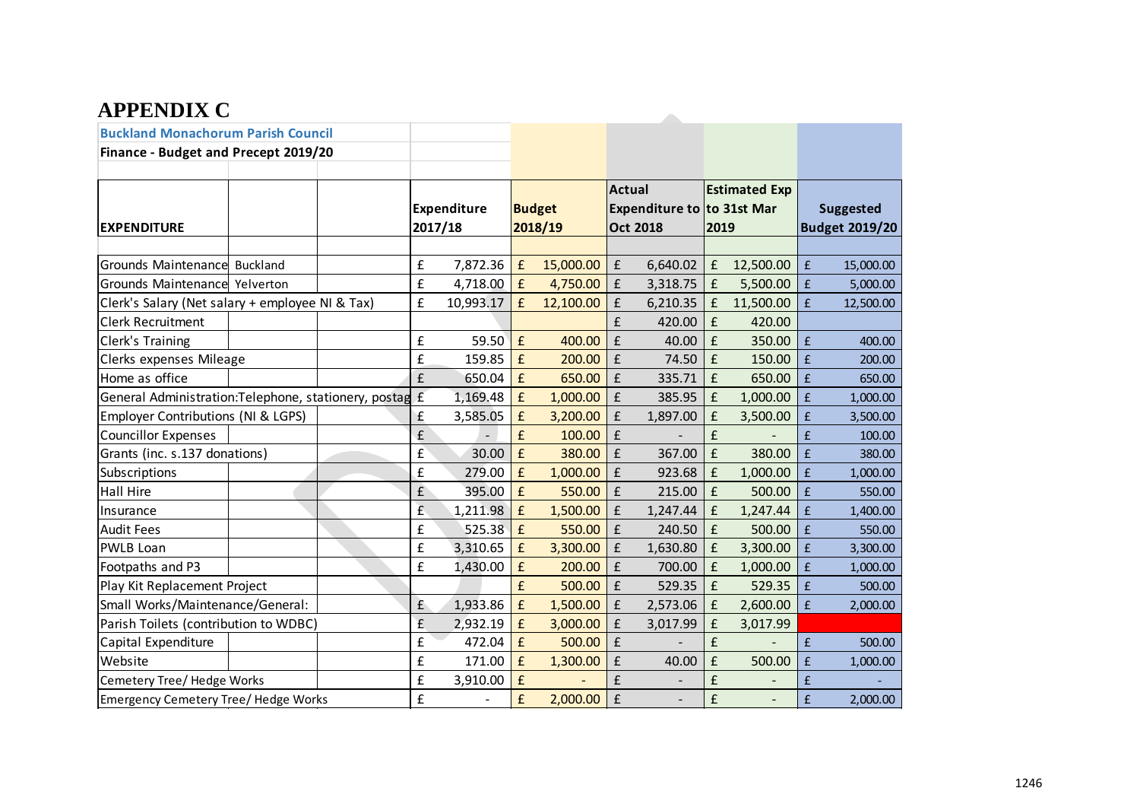## **APPENDIX C**

| AFFENDIA U                                             |                        |           |                          |           |                                                                |          |                              |           |                    |                                           |
|--------------------------------------------------------|------------------------|-----------|--------------------------|-----------|----------------------------------------------------------------|----------|------------------------------|-----------|--------------------|-------------------------------------------|
| <b>Buckland Monachorum Parish Council</b>              |                        |           |                          |           |                                                                |          |                              |           |                    |                                           |
| Finance - Budget and Precept 2019/20                   |                        |           |                          |           |                                                                |          |                              |           |                    |                                           |
| <b>EXPENDITURE</b>                                     | Expenditure<br>2017/18 |           | <b>Budget</b><br>2018/19 |           | <b>Actual</b><br>Expenditure to to 31st Mar<br><b>Oct 2018</b> |          | <b>Estimated Exp</b><br>2019 |           |                    | <b>Suggested</b><br><b>Budget 2019/20</b> |
|                                                        |                        |           |                          |           |                                                                |          |                              |           |                    |                                           |
| Grounds Maintenance Buckland                           | £                      | 7,872.36  | £                        | 15,000.00 | £                                                              | 6,640.02 | f                            | 12,500.00 | $\mathbf f$        | 15,000.00                                 |
| Grounds Maintenance Yelverton                          | £                      | 4,718.00  | £                        | 4,750.00  | £                                                              | 3,318.75 | $\pmb{\mathsf{f}}$           | 5,500.00  | $\pmb{\mathsf{f}}$ | 5,000.00                                  |
| Clerk's Salary (Net salary + employee NI & Tax)        | £                      | 10,993.17 | £                        | 12,100.00 | £                                                              | 6,210.35 | f                            | 11,500.00 | £                  | 12,500.00                                 |
| <b>Clerk Recruitment</b>                               |                        |           |                          |           | £                                                              | 420.00   | f                            | 420.00    |                    |                                           |
| Clerk's Training                                       | £                      | 59.50     | $\mathbf f$              | 400.00    | £                                                              | 40.00    | $\mathbf f$                  | 350.00    | $\pmb{\mathsf{f}}$ | 400.00                                    |
| Clerks expenses Mileage                                | £                      | 159.85    | £                        | 200.00    | £                                                              | 74.50    | $\mathbf f$                  | 150.00    | £                  | 200.00                                    |
| Home as office                                         | £                      | 650.04    | £                        | 650.00    | £                                                              | 335.71   | £                            | 650.00    | £                  | 650.00                                    |
| General Administration:Telephone, stationery, postag £ |                        | 1,169.48  | £                        | 1,000.00  | £                                                              | 385.95   | £                            | 1,000.00  | $\hat{\mathbf{f}}$ | 1,000.00                                  |
| Employer Contributions (NI & LGPS)                     | £                      | 3,585.05  | $\pmb{\mathsf{f}}$       | 3,200.00  | £                                                              | 1,897.00 | £                            | 3,500.00  | £                  | 3,500.00                                  |
| <b>Councillor Expenses</b>                             | £                      |           | £                        | 100.00    | £                                                              |          | £                            |           | £                  | 100.00                                    |
| Grants (inc. s.137 donations)                          | £                      | 30.00     | £                        | 380.00    | £                                                              | 367.00   | $\mathbf f$                  | 380.00    | $\hat{\mathbf{f}}$ | 380.00                                    |
| Subscriptions                                          | £                      | 279.00    | £                        | 1,000.00  | £                                                              | 923.68   | £                            | 1,000.00  | £                  | 1,000.00                                  |
| <b>Hall Hire</b>                                       | £                      | 395.00    | $\pmb{\mathsf{f}}$       | 550.00    | £                                                              | 215.00   | $\mathbf f$                  | 500.00    | £                  | 550.00                                    |
| Insurance                                              | £                      | 1,211.98  | £                        | 1,500.00  | £                                                              | 1,247.44 | $\pmb{\mathsf{f}}$           | 1,247.44  | £                  | 1,400.00                                  |
| <b>Audit Fees</b>                                      | £                      | 525.38    | £                        | 550.00    | £                                                              | 240.50   | $\mathbf f$                  | 500.00    | £                  | 550.00                                    |
| <b>PWLB Loan</b>                                       | £                      | 3,310.65  | $\pmb{\mathsf{f}}$       | 3,300.00  | £                                                              | 1,630.80 | $\mathbf f$                  | 3,300.00  | $\pmb{\mathsf{f}}$ | 3,300.00                                  |
| Footpaths and P3                                       | £                      | 1,430.00  | £                        | 200.00    | £                                                              | 700.00   | £                            | 1,000.00  | $\hat{\mathbf{f}}$ | 1,000.00                                  |
| Play Kit Replacement Project                           |                        |           | £                        | 500.00    | £                                                              | 529.35   | f                            | 529.35    | £                  | 500.00                                    |
| Small Works/Maintenance/General:                       | £                      | 1,933.86  | £                        | 1,500.00  | £                                                              | 2,573.06 | £                            | 2,600.00  | £                  | 2,000.00                                  |
| Parish Toilets (contribution to WDBC)                  | £                      | 2,932.19  | £                        | 3,000.00  | £                                                              | 3,017.99 | $\pmb{\mathsf{f}}$           | 3,017.99  |                    |                                           |
| Capital Expenditure                                    | £                      | 472.04    | £                        | 500.00    | £                                                              |          | £                            |           | $\pmb{\mathsf{f}}$ | 500.00                                    |
| Website                                                | £                      | 171.00    | £                        | 1,300.00  | £                                                              | 40.00    | $\mathbf f$                  | 500.00    | $\mathbf f$        | 1,000.00                                  |
| Cemetery Tree/ Hedge Works                             | £                      | 3,910.00  | £                        |           | £                                                              |          | £                            |           | £                  |                                           |
| Emergency Cemetery Tree/ Hedge Works                   | £                      |           | £                        | 2,000.00  | $\pmb{\mathsf{f}}$                                             |          | £                            | L,        | $\pmb{\mathsf{f}}$ | 2,000.00                                  |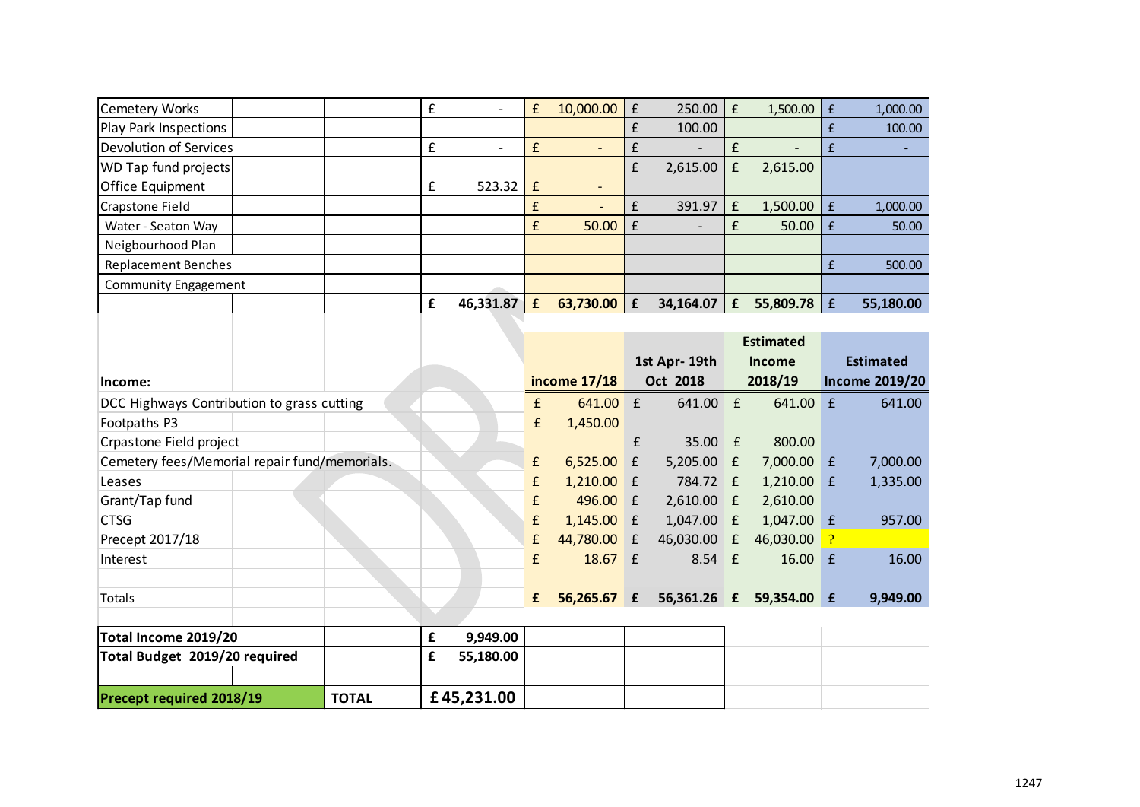| <b>Cemetery Works</b>                         |  |              | $\pmb{\mathsf{f}}$ | $\overline{\phantom{0}}$ | £                  | 10,000.00                | $\pmb{\mathsf{f}}$ | 250.00       | $\pmb{\mathsf{f}}$ | 1,500.00         | $\pmb{\mathsf{f}}$ | 1,000.00              |
|-----------------------------------------------|--|--------------|--------------------|--------------------------|--------------------|--------------------------|--------------------|--------------|--------------------|------------------|--------------------|-----------------------|
| <b>Play Park Inspections</b>                  |  |              |                    |                          |                    |                          | £                  | 100.00       |                    |                  | £                  | 100.00                |
| <b>Devolution of Services</b>                 |  |              | £                  | $\overline{\phantom{0}}$ | $\mathbf f$        | $\overline{\phantom{a}}$ | £                  |              | £                  |                  | $\pmb{\mathsf{f}}$ |                       |
| WD Tap fund projects                          |  |              |                    |                          |                    |                          | £                  | 2,615.00     | $\pmb{\mathsf{f}}$ | 2,615.00         |                    |                       |
| Office Equipment                              |  |              | £                  | 523.32                   | £                  | $\overline{\phantom{0}}$ |                    |              |                    |                  |                    |                       |
| <b>Crapstone Field</b>                        |  |              |                    |                          | £                  |                          | £                  | 391.97       | £                  | 1,500.00         | $\pmb{\mathsf{f}}$ | 1,000.00              |
| Water - Seaton Way                            |  |              |                    |                          | £                  | 50.00                    | £                  |              | £                  | 50.00            | $\pmb{\mathsf{f}}$ | 50.00                 |
| Neigbourhood Plan                             |  |              |                    |                          |                    |                          |                    |              |                    |                  |                    |                       |
| <b>Replacement Benches</b>                    |  |              |                    |                          |                    |                          |                    |              |                    |                  | £                  | 500.00                |
| <b>Community Engagement</b>                   |  |              |                    |                          |                    |                          |                    |              |                    |                  |                    |                       |
|                                               |  |              | $\pmb{\mathsf{f}}$ | 46,331.87                | £                  | 63,730.00   $E$          |                    | 34,164.07    | $\mathbf f$        | 55,809.78        | £                  | 55,180.00             |
|                                               |  |              |                    |                          |                    |                          |                    |              |                    |                  |                    |                       |
|                                               |  |              |                    |                          |                    |                          |                    |              |                    | <b>Estimated</b> |                    |                       |
|                                               |  |              |                    |                          |                    |                          |                    | 1st Apr-19th |                    | <b>Income</b>    |                    | <b>Estimated</b>      |
| Income:                                       |  |              |                    |                          |                    | income 17/18             |                    | Oct 2018     |                    | 2018/19          |                    | <b>Income 2019/20</b> |
| DCC Highways Contribution to grass cutting    |  |              |                    |                          | £                  | 641.00                   | f                  | 641.00       | $\mathbf{f}$       | 641.00           | $\mathbf{f}$       | 641.00                |
| Footpaths P3                                  |  |              |                    |                          | $\pmb{\mathsf{f}}$ | 1,450.00                 |                    |              |                    |                  |                    |                       |
| Crpastone Field project                       |  |              |                    |                          |                    |                          | £                  | 35.00        | $\mathbf{f}$       | 800.00           |                    |                       |
| Cemetery fees/Memorial repair fund/memorials. |  |              |                    |                          | £                  | 6,525.00                 | E                  | 5,205.00     | $\mathbf{f}$       | 7,000.00         | $\mathbf{f}$       | 7,000.00              |
| Leases                                        |  |              |                    |                          | £                  | $1,210.00$ £             |                    | 784.72       | $\mathsf{E}$       | 1,210.00         | $\mathbf{f}$       | 1,335.00              |
| Grant/Tap fund                                |  |              |                    |                          | £                  | 496.00 £                 |                    | 2,610.00     | $\mathsf{E}$       | 2,610.00         |                    |                       |
| <b>CTSG</b>                                   |  |              |                    |                          | £                  | $1,145.00$ £             |                    | 1,047.00     | $\mathbf{f}$       | $1,047.00$ £     |                    | 957.00                |
| Precept 2017/18                               |  |              |                    |                          | £                  | 44,780.00 £              |                    | 46,030.00    | $\mathbf{f}$       | 46,030.00        | ?                  |                       |
| Interest                                      |  |              |                    |                          | £                  | 18.67 £                  |                    | $8.54 \t f$  |                    | 16.00            | f                  | 16.00                 |
|                                               |  |              |                    |                          |                    |                          |                    |              |                    |                  |                    |                       |
| <b>Totals</b>                                 |  |              |                    |                          | £                  | 56,265.67 £              |                    | 56,361.26 £  |                    | 59,354.00 £      |                    | 9,949.00              |
|                                               |  |              |                    |                          |                    |                          |                    |              |                    |                  |                    |                       |
| Total Income 2019/20                          |  |              | £                  | 9,949.00                 |                    |                          |                    |              |                    |                  |                    |                       |
| Total Budget 2019/20 required                 |  |              | £                  | 55,180.00                |                    |                          |                    |              |                    |                  |                    |                       |
|                                               |  |              |                    |                          |                    |                          |                    |              |                    |                  |                    |                       |
| Precept required 2018/19                      |  | <b>TOTAL</b> |                    | £45,231.00               |                    |                          |                    |              |                    |                  |                    |                       |